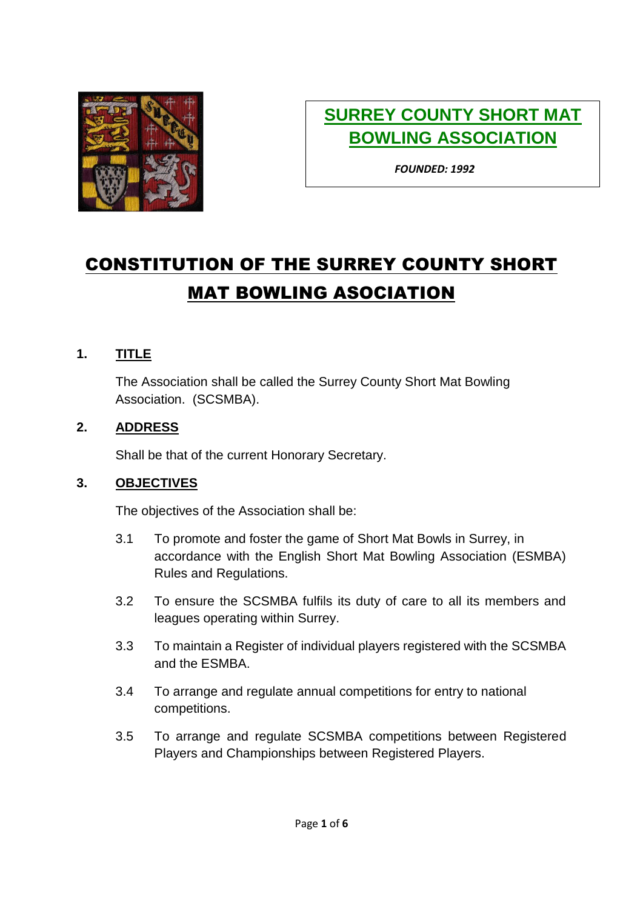

# **SURREY COUNTY SHORT MAT BOWLING ASSOCIATION**

*FOUNDED: 1992*

# CONSTITUTION OF THE SURREY COUNTY SHORT MAT BOWLING ASOCIATION

#### **1. TITLE**

The Association shall be called the Surrey County Short Mat Bowling Association. (SCSMBA).

#### **2. ADDRESS**

Shall be that of the current Honorary Secretary.

#### **3. OBJECTIVES**

The objectives of the Association shall be:

- 3.1 To promote and foster the game of Short Mat Bowls in Surrey, in accordance with the English Short Mat Bowling Association (ESMBA) Rules and Regulations.
- 3.2 To ensure the SCSMBA fulfils its duty of care to all its members and leagues operating within Surrey.
- 3.3 To maintain a Register of individual players registered with the SCSMBA and the ESMBA.
- 3.4 To arrange and regulate annual competitions for entry to national competitions.
- 3.5 To arrange and regulate SCSMBA competitions between Registered Players and Championships between Registered Players.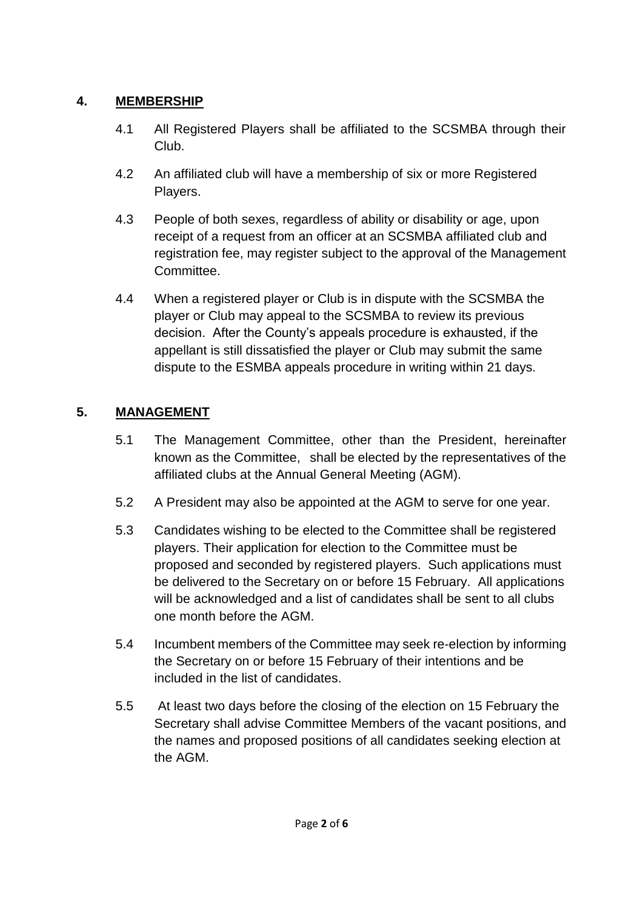# **4. MEMBERSHIP**

- 4.1 All Registered Players shall be affiliated to the SCSMBA through their Club.
- 4.2 An affiliated club will have a membership of six or more Registered Players.
- 4.3 People of both sexes, regardless of ability or disability or age, upon receipt of a request from an officer at an SCSMBA affiliated club and registration fee, may register subject to the approval of the Management Committee.
- 4.4 When a registered player or Club is in dispute with the SCSMBA the player or Club may appeal to the SCSMBA to review its previous decision. After the County's appeals procedure is exhausted, if the appellant is still dissatisfied the player or Club may submit the same dispute to the ESMBA appeals procedure in writing within 21 days.

# **5. MANAGEMENT**

- 5.1 The Management Committee, other than the President, hereinafter known as the Committee, shall be elected by the representatives of the affiliated clubs at the Annual General Meeting (AGM).
- 5.2 A President may also be appointed at the AGM to serve for one year.
- 5.3 Candidates wishing to be elected to the Committee shall be registered players. Their application for election to the Committee must be proposed and seconded by registered players. Such applications must be delivered to the Secretary on or before 15 February. All applications will be acknowledged and a list of candidates shall be sent to all clubs one month before the AGM.
- 5.4 Incumbent members of the Committee may seek re-election by informing the Secretary on or before 15 February of their intentions and be included in the list of candidates.
- 5.5 At least two days before the closing of the election on 15 February the Secretary shall advise Committee Members of the vacant positions, and the names and proposed positions of all candidates seeking election at the AGM.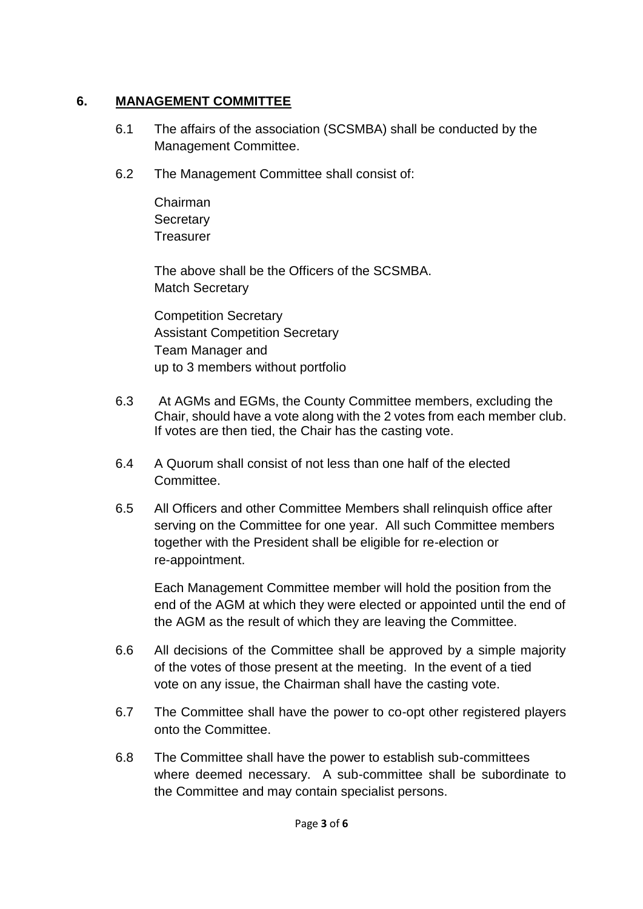#### **6. MANAGEMENT COMMITTEE**

- 6.1 The affairs of the association (SCSMBA) shall be conducted by the Management Committee.
- 6.2 The Management Committee shall consist of:
	- Chairman **Secretary Treasurer**

The above shall be the Officers of the SCSMBA. Match Secretary

Competition Secretary Assistant Competition Secretary Team Manager and up to 3 members without portfolio

- 6.3 At AGMs and EGMs, the County Committee members, excluding the Chair, should have a vote along with the 2 votes from each member club. If votes are then tied, the Chair has the casting vote.
- 6.4 A Quorum shall consist of not less than one half of the elected Committee.
- 6.5 All Officers and other Committee Members shall relinquish office after serving on the Committee for one year. All such Committee members together with the President shall be eligible for re-election or re-appointment.

Each Management Committee member will hold the position from the end of the AGM at which they were elected or appointed until the end of the AGM as the result of which they are leaving the Committee.

- 6.6 All decisions of the Committee shall be approved by a simple majority of the votes of those present at the meeting. In the event of a tied vote on any issue, the Chairman shall have the casting vote.
- 6.7 The Committee shall have the power to co-opt other registered players onto the Committee.
- 6.8 The Committee shall have the power to establish sub-committees where deemed necessary. A sub-committee shall be subordinate to the Committee and may contain specialist persons.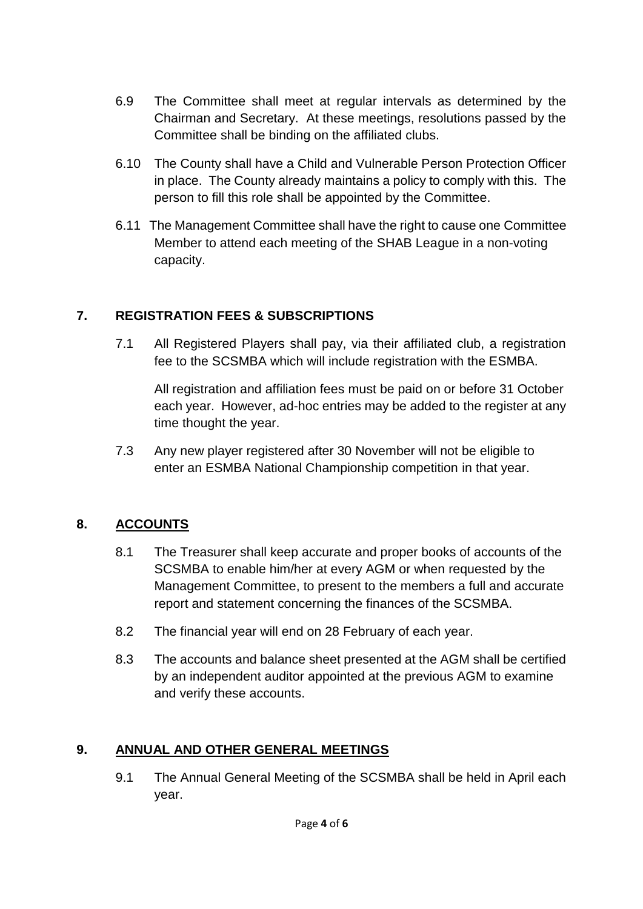- 6.9 The Committee shall meet at regular intervals as determined by the Chairman and Secretary. At these meetings, resolutions passed by the Committee shall be binding on the affiliated clubs.
- 6.10 The County shall have a Child and Vulnerable Person Protection Officer in place. The County already maintains a policy to comply with this. The person to fill this role shall be appointed by the Committee.
- 6.11 The Management Committee shall have the right to cause one Committee Member to attend each meeting of the SHAB League in a non-voting capacity.

# **7. REGISTRATION FEES & SUBSCRIPTIONS**

7.1 All Registered Players shall pay, via their affiliated club, a registration fee to the SCSMBA which will include registration with the ESMBA.

All registration and affiliation fees must be paid on or before 31 October each year. However, ad-hoc entries may be added to the register at any time thought the year.

7.3 Any new player registered after 30 November will not be eligible to enter an ESMBA National Championship competition in that year.

#### **8. ACCOUNTS**

- 8.1 The Treasurer shall keep accurate and proper books of accounts of the SCSMBA to enable him/her at every AGM or when requested by the Management Committee, to present to the members a full and accurate report and statement concerning the finances of the SCSMBA.
- 8.2 The financial year will end on 28 February of each year.
- 8.3 The accounts and balance sheet presented at the AGM shall be certified by an independent auditor appointed at the previous AGM to examine and verify these accounts.

#### **9. ANNUAL AND OTHER GENERAL MEETINGS**

9.1 The Annual General Meeting of the SCSMBA shall be held in April each year.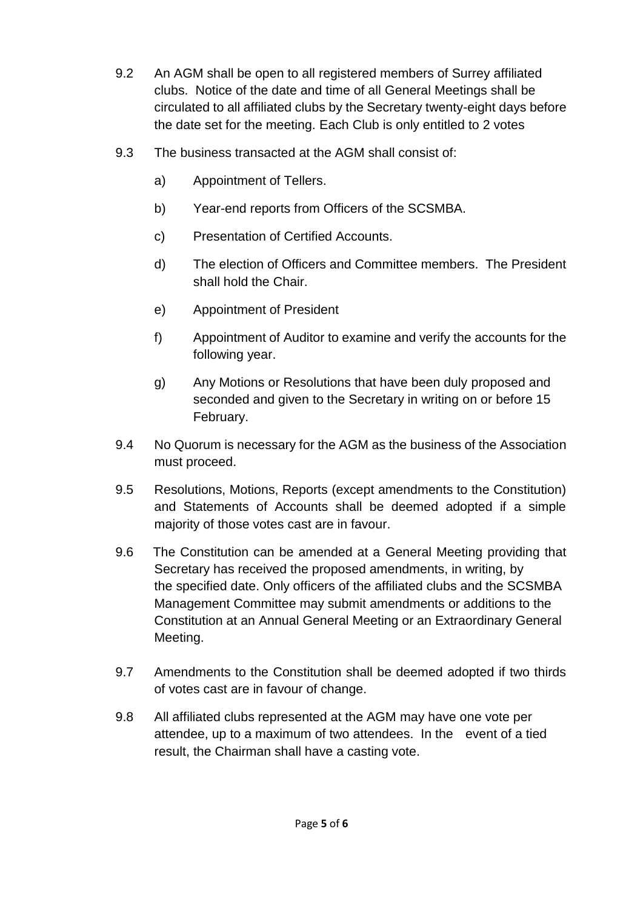- 9.2 An AGM shall be open to all registered members of Surrey affiliated clubs. Notice of the date and time of all General Meetings shall be circulated to all affiliated clubs by the Secretary twenty-eight days before the date set for the meeting. Each Club is only entitled to 2 votes
- 9.3 The business transacted at the AGM shall consist of:
	- a) Appointment of Tellers.
	- b) Year-end reports from Officers of the SCSMBA.
	- c) Presentation of Certified Accounts.
	- d) The election of Officers and Committee members. The President shall hold the Chair.
	- e) Appointment of President
	- f) Appointment of Auditor to examine and verify the accounts for the following year.
	- g) Any Motions or Resolutions that have been duly proposed and seconded and given to the Secretary in writing on or before 15 February.
- 9.4 No Quorum is necessary for the AGM as the business of the Association must proceed.
- 9.5 Resolutions, Motions, Reports (except amendments to the Constitution) and Statements of Accounts shall be deemed adopted if a simple majority of those votes cast are in favour.
- 9.6 The Constitution can be amended at a General Meeting providing that Secretary has received the proposed amendments, in writing, by the specified date. Only officers of the affiliated clubs and the SCSMBA Management Committee may submit amendments or additions to the Constitution at an Annual General Meeting or an Extraordinary General Meeting.
- 9.7 Amendments to the Constitution shall be deemed adopted if two thirds of votes cast are in favour of change.
- 9.8 All affiliated clubs represented at the AGM may have one vote per attendee, up to a maximum of two attendees. In the event of a tied result, the Chairman shall have a casting vote.